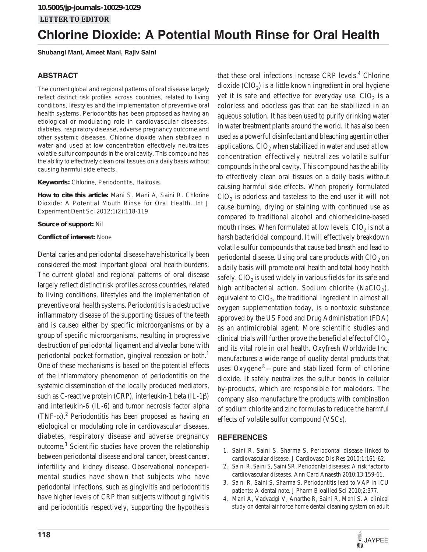# **Chlorine Dioxide: A Potential Mouth Rinse for Oral Health**

**Shubangi Mani, Ameet Mani, Rajiv Saini**

# **ABSTRACT**

The current global and regional patterns of oral disease largely reflect distinct risk profiles across countries, related to living conditions, lifestyles and the implementation of preventive oral health systems. Periodontitis has been proposed as having an etiological or modulating role in cardiovascular diseases, diabetes, respiratory disease, adverse pregnancy outcome and other systemic diseases. Chlorine dioxide when stabilized in water and used at low concentration effectively neutralizes volatile sulfur compounds in the oral cavity. This compound has the ability to effectively clean oral tissues on a daily basis without causing harmful side effects.

**Keywords:** Chlorine, Periodontitis, Halitosis.

**How to cite this article:** Mani S, Mani A, Saini R. Chlorine Dioxide: A Potential Mouth Rinse for Oral Health. Int J Experiment Dent Sci 2012;1(2):118-119.

**Source of support:** Nil

#### **Conflict of interest:** None

Dental caries and periodontal disease have historically been considered the most important global oral health burdens. The current global and regional patterns of oral disease largely reflect distinct risk profiles across countries, related to living conditions, lifestyles and the implementation of preventive oral health systems. Periodontitis is a destructive inflammatory disease of the supporting tissues of the teeth and is caused either by specific microorganisms or by a group of specific microorganisms, resulting in progressive destruction of periodontal ligament and alveolar bone with periodontal pocket formation, gingival recession or both.<sup>1</sup> One of these mechanisms is based on the potential effects of the inflammatory phenomenon of periodontitis on the systemic dissemination of the locally produced mediators, such as C-reactive protein (CRP), interleukin-1 beta (IL-1 $\beta$ ) and interleukin-6 (IL-6) and tumor necrosis factor alpha  $(TNF-\alpha)$ .<sup>2</sup> Periodontitis has been proposed as having an etiological or modulating role in cardiovascular diseases, diabetes, respiratory disease and adverse pregnancy outcome.<sup>3</sup> Scientific studies have proven the relationship between periodontal disease and oral cancer, breast cancer, infertility and kidney disease. Observational nonexperimental studies have shown that subjects who have periodontal infections, such as gingivitis and periodontitis have higher levels of CRP than subjects without gingivitis and periodontitis respectively, supporting the hypothesis

yet it is safe and effective for everyday use.  $ClO<sub>2</sub>$  is a colorless and odorless gas that can be stabilized in an aqueous solution. It has been used to purify drinking water in water treatment plants around the world. It has also been used as a powerful disinfectant and bleaching agent in other applications.  $ClO<sub>2</sub>$  when stabilized in water and used at low concentration effectively neutralizes volatile sulfur compounds in the oral cavity. This compound has the ability to effectively clean oral tissues on a daily basis without causing harmful side effects. When properly formulated  $ClO<sub>2</sub>$  is odorless and tasteless to the end user it will not cause burning, drying or staining with continued use as compared to traditional alcohol and chlorhexidine-based mouth rinses. When formulated at low levels,  $ClO<sub>2</sub>$  is not a harsh bactericidal compound. It will effectively breakdown volatile sulfur compounds that cause bad breath and lead to periodontal disease. Using oral care products with  $ClO<sub>2</sub>$  on a daily basis will promote oral health and total body health safely.  $ClO<sub>2</sub>$  is used widely in various fields for its safe and high antibacterial action. Sodium chlorite (NaClO<sub>2</sub>), equivalent to  $ClO<sub>2</sub>$ , the traditional ingredient in almost all oxygen supplementation today, is a nontoxic substance approved by the US Food and Drug Administration (FDA) as an antimicrobial agent. More scientific studies and clinical trials will further prove the beneficial effect of  $ClO<sub>2</sub>$ and its vital role in oral health. Oxyfresh Worldwide Inc. manufactures a wide range of quality dental products that uses Oxygene®—pure and stabilized form of chlorine dioxide. It safely neutralizes the sulfur bonds in cellular by-products, which are responsible for malodors. The company also manufacture the products with combination of sodium chlorite and zinc formulas to reduce the harmful effects of volatile sulfur compound (VSCs).

that these oral infections increase CRP levels.<sup>4</sup> Chlorine dioxide  $(CIO<sub>2</sub>)$  is a little known ingredient in oral hygiene

## **REFERENCES**

- 1. Saini R, Saini S, Sharma S. Periodontal disease linked to cardiovascular disease. J Cardiovasc Dis Res 2010;1:161-62.
- 2. Saini R, Saini S, Saini SR. Periodontal diseases: A risk factor to cardiovascular diseases. Ann Card Anaesth 2010;13:159-61.
- 3. Saini R, Saini S, Sharma S. Periodontitis lead to VAP in ICU patients: A dental note. J Pharm Bioallied Sci 2010;2:377.
- 4. Mani A, Vadvadgi V, Anarthe R, Saini R, Mani S. A clinical study on dental air force home dental cleaning system on adult